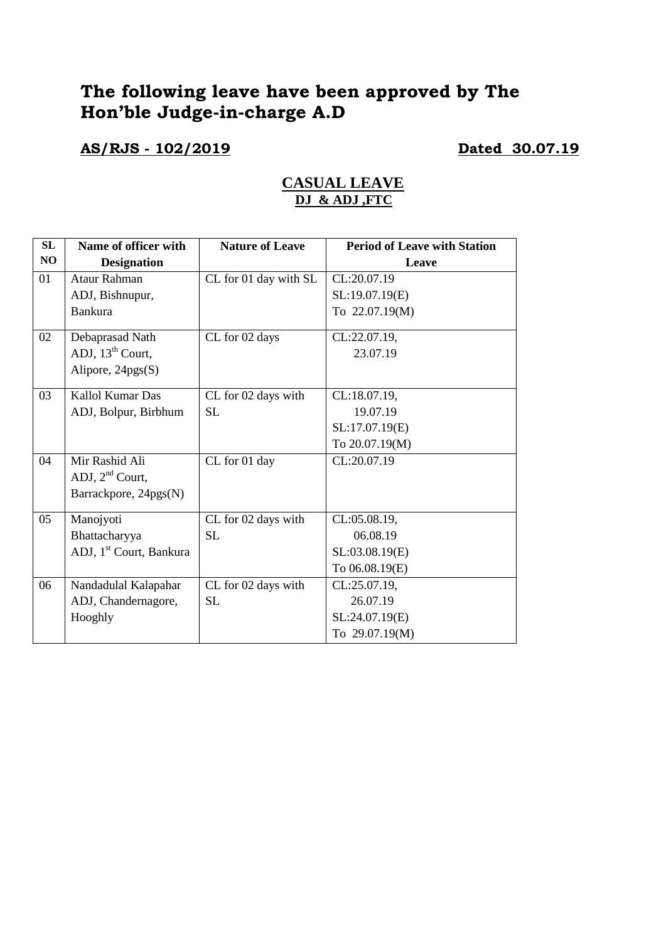# **The following leave have been approved by The Hon'ble Judge-in-charge A.D**

### **AS/RJS - 102/2019 Dated 30.07.19**

| <b>CASUAL LEAVE</b> |  |
|---------------------|--|
| DJ & ADJ ,FTC       |  |

| <b>SL</b> | Name of officer with                | <b>Nature of Leave</b> | <b>Period of Leave with Station</b> |
|-----------|-------------------------------------|------------------------|-------------------------------------|
| NO        | <b>Designation</b>                  |                        | Leave                               |
| 01        | <b>Ataur Rahman</b>                 | CL for 01 day with SL  | CL:20.07.19                         |
|           | ADJ, Bishnupur,                     |                        | SL:19.07.19(E)                      |
|           | <b>Bankura</b>                      |                        | To 22.07.19(M)                      |
| 02        | Debaprasad Nath                     | CL for 02 days         | CL:22.07.19,                        |
|           | ADJ, $13th$ Court,                  |                        | 23.07.19                            |
|           | Alipore, 24pgs(S)                   |                        |                                     |
| 03        | Kallol Kumar Das                    | CL for 02 days with    | CL:18.07.19,                        |
|           | ADJ, Bolpur, Birbhum                | <b>SL</b>              | 19.07.19                            |
|           |                                     |                        | SL:17.07.19(E)                      |
|           |                                     |                        | To 20.07.19(M)                      |
| 04        | Mir Rashid Ali                      | CL for 01 day          | CL:20.07.19                         |
|           | ADJ, $2nd$ Court,                   |                        |                                     |
|           | Barrackpore, 24pgs(N)               |                        |                                     |
| 05        | Manojyoti                           | CL for 02 days with    | CL:05.08.19,                        |
|           | Bhattacharyya                       | <b>SL</b>              | 06.08.19                            |
|           | ADJ, 1 <sup>st</sup> Court, Bankura |                        | SL:03.08.19(E)                      |
|           |                                     |                        | To 06.08.19(E)                      |
| 06        | Nandadulal Kalapahar                | CL for 02 days with    | CL:25.07.19,                        |
|           | ADJ, Chandernagore,                 | <b>SL</b>              | 26.07.19                            |
|           | Hooghly                             |                        | SL:24.07.19(E)                      |
|           |                                     |                        | To 29.07.19(M)                      |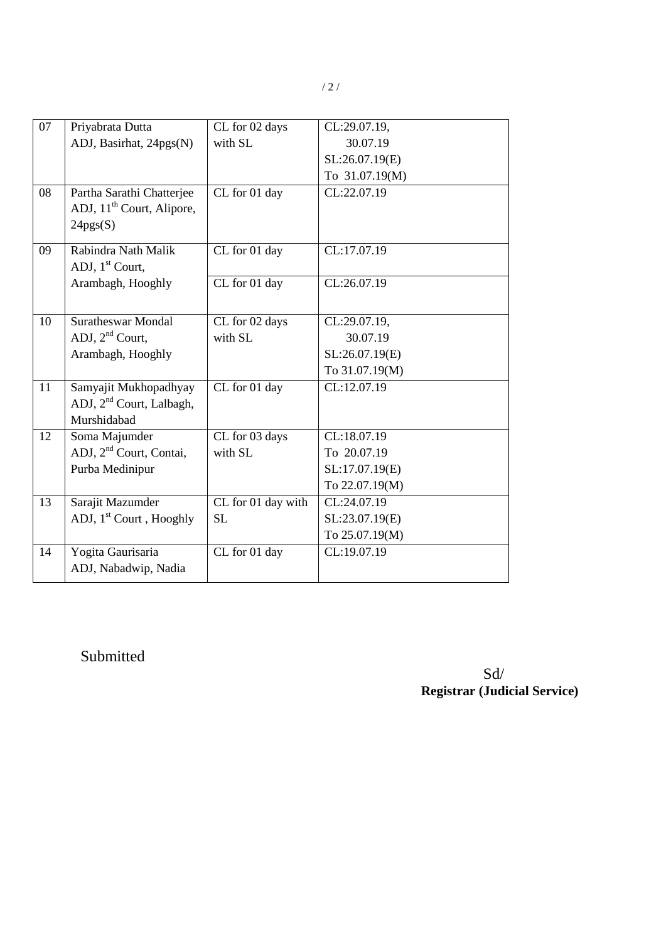| 07              | Priyabrata Dutta                      | CL for 02 days     | CL:29.07.19,   |
|-----------------|---------------------------------------|--------------------|----------------|
|                 | ADJ, Basirhat, 24pgs(N)               | with SL            | 30.07.19       |
|                 |                                       |                    | SL:26.07.19(E) |
|                 |                                       |                    | To 31.07.19(M) |
| 08              | Partha Sarathi Chatterjee             | CL for 01 day      | CL:22.07.19    |
|                 | ADJ, 11 <sup>th</sup> Court, Alipore, |                    |                |
|                 | 24pgs(S)                              |                    |                |
| 09              | Rabindra Nath Malik                   | CL for 01 day      | CL:17.07.19    |
|                 | ADJ, $1st$ Court,                     |                    |                |
|                 | Arambagh, Hooghly                     | CL for 01 day      | CL:26.07.19    |
|                 |                                       |                    |                |
| 10              | <b>Suratheswar Mondal</b>             | CL for 02 days     | CL:29.07.19,   |
|                 | ADJ, $2nd$ Court,                     | with SL            | 30.07.19       |
|                 | Arambagh, Hooghly                     |                    | SL:26.07.19(E) |
|                 |                                       |                    | To 31.07.19(M) |
| $\overline{11}$ | Samyajit Mukhopadhyay                 | CL for 01 day      | CL:12.07.19    |
|                 | ADJ, 2 <sup>nd</sup> Court, Lalbagh,  |                    |                |
|                 | Murshidabad                           |                    |                |
| 12              | Soma Majumder                         | CL for 03 days     | CL:18.07.19    |
|                 | ADJ, 2 <sup>nd</sup> Court, Contai,   | with SL            | To 20.07.19    |
|                 | Purba Medinipur                       |                    | SL:17.07.19(E) |
|                 |                                       |                    | To 22.07.19(M) |
| 13              | Sarajit Mazumder                      | CL for 01 day with | CL:24.07.19    |
|                 | ADJ, 1 <sup>st</sup> Court, Hooghly   | <b>SL</b>          | SL:23.07.19(E) |
|                 |                                       |                    | To 25.07.19(M) |

CL for 01 day CL:19.07.19

Submitted

14 Yogita Gaurisaria

ADJ, Nabadwip, Nadia

Sd/ **Registrar (Judicial Service)**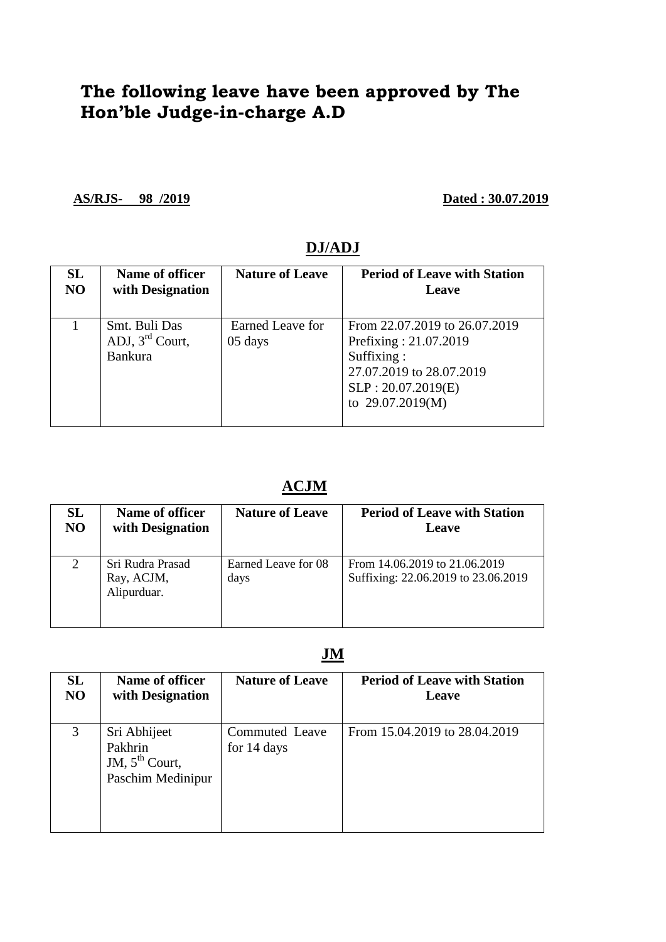# **The following leave have been approved by The Hon'ble Judge-in-charge A.D**

**AS/RJS- 98 /2019 Dated : 30.07.2019**

| SL | Name of officer                                      | <b>Nature of Leave</b>      | <b>Period of Leave with Station</b>                                                                                                        |
|----|------------------------------------------------------|-----------------------------|--------------------------------------------------------------------------------------------------------------------------------------------|
| NO | with Designation                                     |                             | Leave                                                                                                                                      |
|    | Smt. Buli Das<br>ADJ, $3rd$ Court,<br><b>Bankura</b> | Earned Leave for<br>05 days | From 22.07.2019 to 26.07.2019<br>Prefixing: 21.07.2019<br>Suffixing:<br>27.07.2019 to 28.07.2019<br>SLP: 20.07.2019(E)<br>to 29.07.2019(M) |

#### **DJ/ADJ**

### **ACJM**

| SL | Name of officer                               | <b>Nature of Leave</b>      | <b>Period of Leave with Station</b>                                  |
|----|-----------------------------------------------|-----------------------------|----------------------------------------------------------------------|
| NO | with Designation                              |                             | Leave                                                                |
|    | Sri Rudra Prasad<br>Ray, ACJM,<br>Alipurduar. | Earned Leave for 08<br>days | From 14.06.2019 to 21.06.2019<br>Suffixing: 22.06.2019 to 23.06.2019 |

#### **JM**

| SL | <b>Name of officer</b>                                           | <b>Nature of Leave</b>        | <b>Period of Leave with Station</b> |
|----|------------------------------------------------------------------|-------------------------------|-------------------------------------|
| NO | with Designation                                                 |                               | Leave                               |
| 3  | Sri Abhijeet<br>Pakhrin<br>JM, $5th$ Court,<br>Paschim Medinipur | Commuted Leave<br>for 14 days | From 15.04.2019 to 28.04.2019       |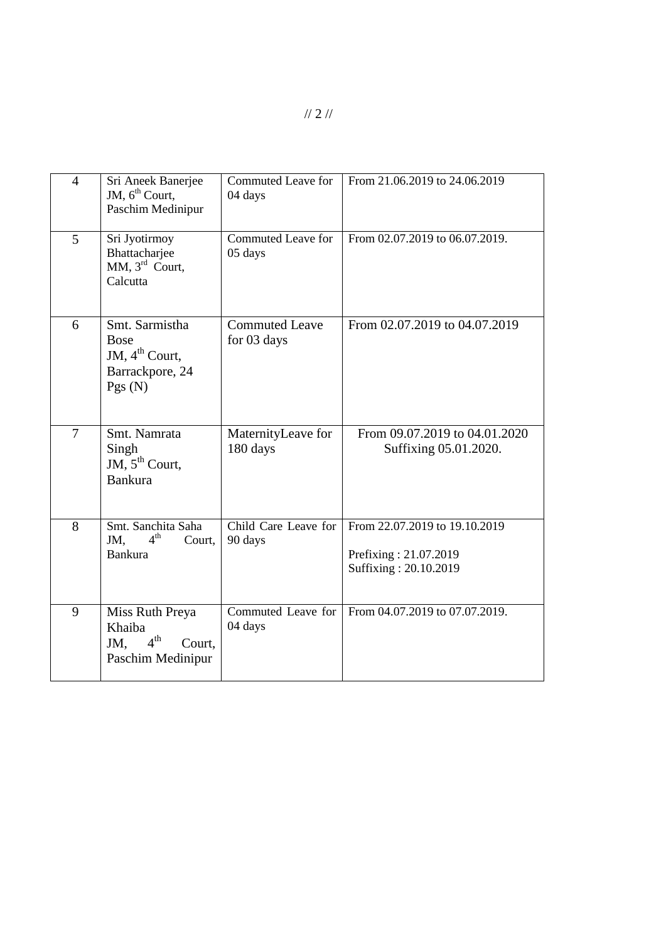| $\overline{4}$ | Sri Aneek Banerjee<br>JM, $6th$ Court,<br>Paschim Medinipur                              | <b>Commuted Leave for</b><br>04 days | From 21.06.2019 to 24.06.2019                                                   |
|----------------|------------------------------------------------------------------------------------------|--------------------------------------|---------------------------------------------------------------------------------|
| 5              | Sri Jyotirmoy<br>Bhattacharjee<br>MM, 3 <sup>rd</sup> Court,<br>Calcutta                 | Commuted Leave for<br>05 days        | From 02.07.2019 to 06.07.2019.                                                  |
| 6              | Smt. Sarmistha<br><b>Bose</b><br>JM, $4^{\text{th}}$ Court,<br>Barrackpore, 24<br>Pgs(N) | <b>Commuted Leave</b><br>for 03 days | From 02.07.2019 to 04.07.2019                                                   |
| 7              | Smt. Namrata<br>Singh<br>JM, $5^{th}$ Court,<br><b>Bankura</b>                           | MaternityLeave for<br>180 days       | From 09.07.2019 to 04.01.2020<br>Suffixing 05.01.2020.                          |
| 8              | Smt. Sanchita Saha<br>4 <sup>th</sup><br>JM.<br>Court.<br><b>Bankura</b>                 | Child Care Leave for<br>90 days      | From 22.07.2019 to 19.10.2019<br>Prefixing: 21.07.2019<br>Suffixing: 20.10.2019 |
| 9              | Miss Ruth Preya<br>Khaiba<br>4 <sup>th</sup><br>JM,<br>Court,<br>Paschim Medinipur       | Commuted Leave for<br>04 days        | From 04.07.2019 to 07.07.2019.                                                  |